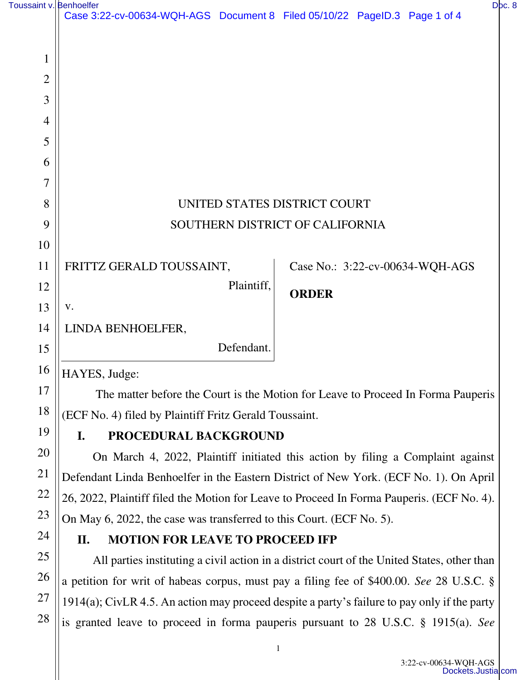| Toussaint v. Benhoelfer |                                                                           |            |              |  |                                 | Doc. 8 |
|-------------------------|---------------------------------------------------------------------------|------------|--------------|--|---------------------------------|--------|
|                         | Case 3:22-cv-00634-WQH-AGS Document 8 Filed 05/10/22 PageID.3 Page 1 of 4 |            |              |  |                                 |        |
|                         |                                                                           |            |              |  |                                 |        |
| $\mathbf{1}$            |                                                                           |            |              |  |                                 |        |
| $\overline{2}$          |                                                                           |            |              |  |                                 |        |
| 3                       |                                                                           |            |              |  |                                 |        |
| $\overline{4}$          |                                                                           |            |              |  |                                 |        |
| 5                       |                                                                           |            |              |  |                                 |        |
| 6                       |                                                                           |            |              |  |                                 |        |
| $\overline{7}$          |                                                                           |            |              |  |                                 |        |
| 8                       | UNITED STATES DISTRICT COURT                                              |            |              |  |                                 |        |
| 9                       | SOUTHERN DISTRICT OF CALIFORNIA                                           |            |              |  |                                 |        |
| 10                      |                                                                           |            |              |  |                                 |        |
| 11                      | FRITTZ GERALD TOUSSAINT,                                                  |            |              |  | Case No.: 3:22-cv-00634-WQH-AGS |        |
| 12                      |                                                                           | Plaintiff, | <b>ORDER</b> |  |                                 |        |
| 13                      | V.                                                                        |            |              |  |                                 |        |
| 14                      | LINDA BENHOELFER,                                                         |            |              |  |                                 |        |
| 15                      |                                                                           | Defendant. |              |  |                                 |        |
| 16                      | HAYES, Judge:                                                             |            |              |  |                                 |        |

 The matter before the Court is the Motion for Leave to Proceed In Forma Pauperis (ECF No. 4) filed by Plaintiff Fritz Gerald Toussaint.

## **I. PROCEDURAL BACKGROUND**

On March 4, 2022, Plaintiff initiated this action by filing a Complaint against Defendant Linda Benhoelfer in the Eastern District of New York. (ECF No. 1). On April 26, 2022, Plaintiff filed the Motion for Leave to Proceed In Forma Pauperis. (ECF No. 4). On May 6, 2022, the case was transferred to this Court. (ECF No. 5).

## **II. MOTION FOR LEAVE TO PROCEED IFP**

All parties instituting a civil action in a district court of the United States, other than a petition for writ of habeas corpus, must pay a filing fee of \$400.00. *See* 28 U.S.C. § 1914(a); CivLR 4.5. An action may proceed despite a party's failure to pay only if the party is granted leave to proceed in forma pauperis pursuant to 28 U.S.C. § 1915(a). *See*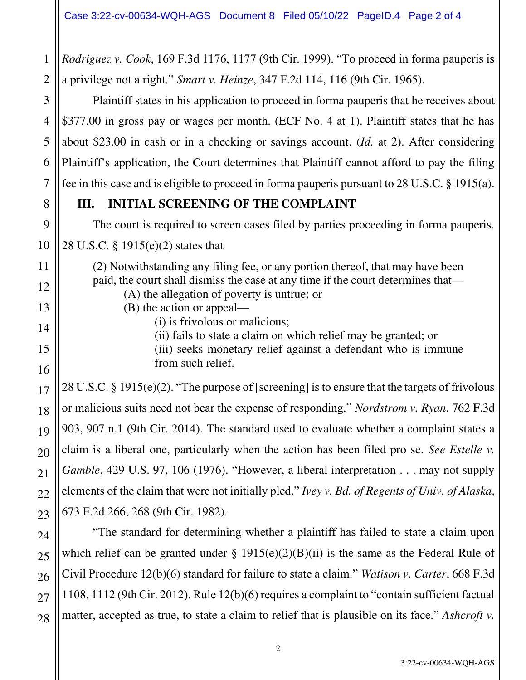*Rodriguez v. Cook*, 169 F.3d 1176, 1177 (9th Cir. 1999). "To proceed in forma pauperis is a privilege not a right." *Smart v. Heinze*, 347 F.2d 114, 116 (9th Cir. 1965).

Plaintiff states in his application to proceed in forma pauperis that he receives about \$377.00 in gross pay or wages per month. (ECF No. 4 at 1). Plaintiff states that he has about \$23.00 in cash or in a checking or savings account. (*Id.* at 2). After considering Plaintiff's application, the Court determines that Plaintiff cannot afford to pay the filing fee in this case and is eligible to proceed in forma pauperis pursuant to 28 U.S.C. § 1915(a).

## **III. INITIAL SCREENING OF THE COMPLAINT**

The court is required to screen cases filed by parties proceeding in forma pauperis.

28 U.S.C. § 1915(e)(2) states that

(2) Notwithstanding any filing fee, or any portion thereof, that may have been paid, the court shall dismiss the case at any time if the court determines that—

- (A) the allegation of poverty is untrue; or
- (B) the action or appeal—
	- (i) is frivolous or malicious;
	- (ii) fails to state a claim on which relief may be granted; or

(iii) seeks monetary relief against a defendant who is immune from such relief.

28 U.S.C. § 1915(e)(2). "The purpose of [screening] is to ensure that the targets of frivolous or malicious suits need not bear the expense of responding." *Nordstrom v. Ryan*, 762 F.3d 903, 907 n.1 (9th Cir. 2014). The standard used to evaluate whether a complaint states a claim is a liberal one, particularly when the action has been filed pro se. *See Estelle v. Gamble*, 429 U.S. 97, 106 (1976). "However, a liberal interpretation . . . may not supply elements of the claim that were not initially pled." *Ivey v. Bd. of Regents of Univ. of Alaska*, 673 F.2d 266, 268 (9th Cir. 1982).

"The standard for determining whether a plaintiff has failed to state a claim upon which relief can be granted under  $\S$  1915(e)(2)(B)(ii) is the same as the Federal Rule of Civil Procedure 12(b)(6) standard for failure to state a claim." *Watison v. Carter*, 668 F.3d 1108, 1112 (9th Cir. 2012). Rule 12(b)(6) requires a complaint to "contain sufficient factual matter, accepted as true, to state a claim to relief that is plausible on its face." *Ashcroft v.* 

1

2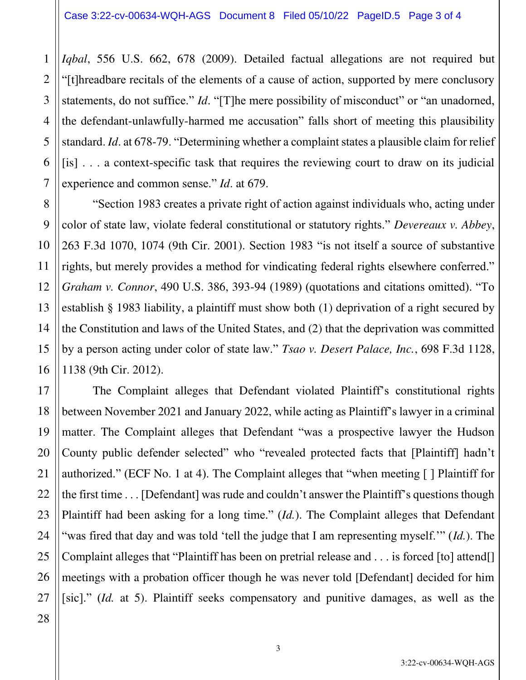*Iqbal*, 556 U.S. 662, 678 (2009). Detailed factual allegations are not required but "[t]hreadbare recitals of the elements of a cause of action, supported by mere conclusory statements, do not suffice." *Id*. "[T]he mere possibility of misconduct" or "an unadorned, the defendant-unlawfully-harmed me accusation" falls short of meeting this plausibility standard. *Id*. at 678-79. "Determining whether a complaint states a plausible claim for relief [is] . . . a context-specific task that requires the reviewing court to draw on its judicial experience and common sense." *Id*. at 679.

"Section 1983 creates a private right of action against individuals who, acting under color of state law, violate federal constitutional or statutory rights." *Devereaux v. Abbey*, 263 F.3d 1070, 1074 (9th Cir. 2001). Section 1983 "is not itself a source of substantive rights, but merely provides a method for vindicating federal rights elsewhere conferred." *Graham v. Connor*, 490 U.S. 386, 393-94 (1989) (quotations and citations omitted). "To establish § 1983 liability, a plaintiff must show both (1) deprivation of a right secured by the Constitution and laws of the United States, and (2) that the deprivation was committed by a person acting under color of state law." *Tsao v. Desert Palace, Inc.*, 698 F.3d 1128, 1138 (9th Cir. 2012).

The Complaint alleges that Defendant violated Plaintiff's constitutional rights between November 2021 and January 2022, while acting as Plaintiff's lawyer in a criminal matter. The Complaint alleges that Defendant "was a prospective lawyer the Hudson County public defender selected" who "revealed protected facts that [Plaintiff] hadn't authorized." (ECF No. 1 at 4). The Complaint alleges that "when meeting [ ] Plaintiff for the first time . . . [Defendant] was rude and couldn't answer the Plaintiff's questions though Plaintiff had been asking for a long time." (*Id.*). The Complaint alleges that Defendant "was fired that day and was told 'tell the judge that I am representing myself.'" (*Id.*). The Complaint alleges that "Plaintiff has been on pretrial release and . . . is forced [to] attend[] meetings with a probation officer though he was never told [Defendant] decided for him [sic]." (*Id.* at 5). Plaintiff seeks compensatory and punitive damages, as well as the

1

2